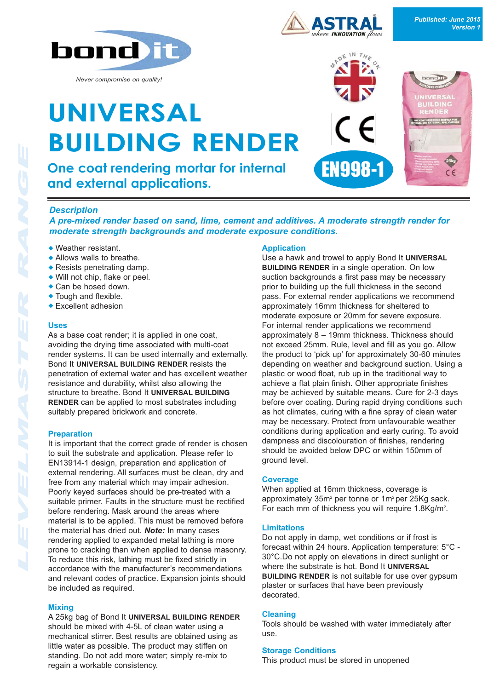

*Never compromise on quality!*

# **UNIVERSAL BUILDING RENDER**

**One coat rendering mortar for internal and external applications.**





### *Description*

*A pre-mixed render based on sand, lime, cement and additives. A moderate strength render for moderate strength backgrounds and moderate exposure conditions.*

- $\bullet$  Weather resistant.
- $\triangle$  Allows walls to breathe.
- $\triangle$  Resists penetrating damp.
- $\bullet$  Will not chip, flake or peel.
- $\bullet$  Can be hosed down.
- $\bullet$  Tough and flexible.
- $\triangle$  Excellent adhesion

#### **Uses**

As a base coat render; it is applied in one coat, avoiding the drying time associated with multi-coat render systems. It can be used internally and externally. Bond It **UNIVERSAL BUILDING RENDER** resists the penetration of external water and has excellent weather resistance and durability, whilst also allowing the structure to breathe. Bond It **UNIVERSAL BUILDING RENDER** can be applied to most substrates including suitably prepared brickwork and concrete.

#### **Preparation**

It is important that the correct grade of render is chosen to suit the substrate and application. Please refer to EN13914-1 design, preparation and application of external rendering. All surfaces must be clean, dry and free from any material which may impair adhesion. Poorly keyed surfaces should be pre-treated with a suitable primer. Faults in the structure must be rectified before rendering. Mask around the areas where material is to be applied. This must be removed before the material has dried out. *Note:* In many cases rendering applied to expanded metal lathing is more prone to cracking than when applied to dense masonry. To reduce this risk, lathing must be fixed strictly in accordance with the manufacturer's recommendations and relevant codes of practice. Expansion joints should be included as required.

#### **Mixing**

A 25kg bag of Bond It **UNIVERSAL BUILDING RENDER** should be mixed with 4-5L of clean water using a mechanical stirrer. Best results are obtained using as little water as possible. The product may stiffen on standing. Do not add more water; simply re-mix to regain a workable consistency.

#### **Application**

Use a hawk and trowel to apply Bond It **UNIVERSAL BUILDING RENDER** in a single operation. On low suction backgrounds a first pass may be necessary prior to building up the full thickness in the second pass. For external render applications we recommend approximately 16mm thickness for sheltered to moderate exposure or 20mm for severe exposure. For internal render applications we recommend approximately 8 – 19mm thickness. Thickness should not exceed 25mm. Rule, level and fill as you go. Allow the product to 'pick up' for approximately 30-60 minutes depending on weather and background suction. Using a plastic or wood float, rub up in the traditional way to achieve a flat plain finish. Other appropriate finishes may be achieved by suitable means. Cure for 2-3 days before over coating. During rapid drying conditions such as hot climates, curing with a fine spray of clean water may be necessary. Protect from unfavourable weather conditions during application and early curing. To avoid dampness and discolouration of finishes, rendering should be avoided below DPC or within 150mm of ground level.

#### **Coverage**

When applied at 16mm thickness, coverage is approximately 35m<sup>2</sup> per tonne or 1m<sup>2</sup> per 25Kg sack. For each mm of thickness you will require 1.8Kg/m<sup>2</sup>.

#### **Limitations**

Do not apply in damp, wet conditions or if frost is forecast within 24 hours. Application temperature: 5°C - 30°C.Do not apply on elevations in direct sunlight or where the substrate is hot. Bond It **UNIVERSAL BUILDING RENDER** is not suitable for use over gypsum plaster or surfaces that have been previously decorated.

#### **Cleaning**

Tools should be washed with water immediately after use.

#### **Storage Conditions**

This product must be stored in unopened